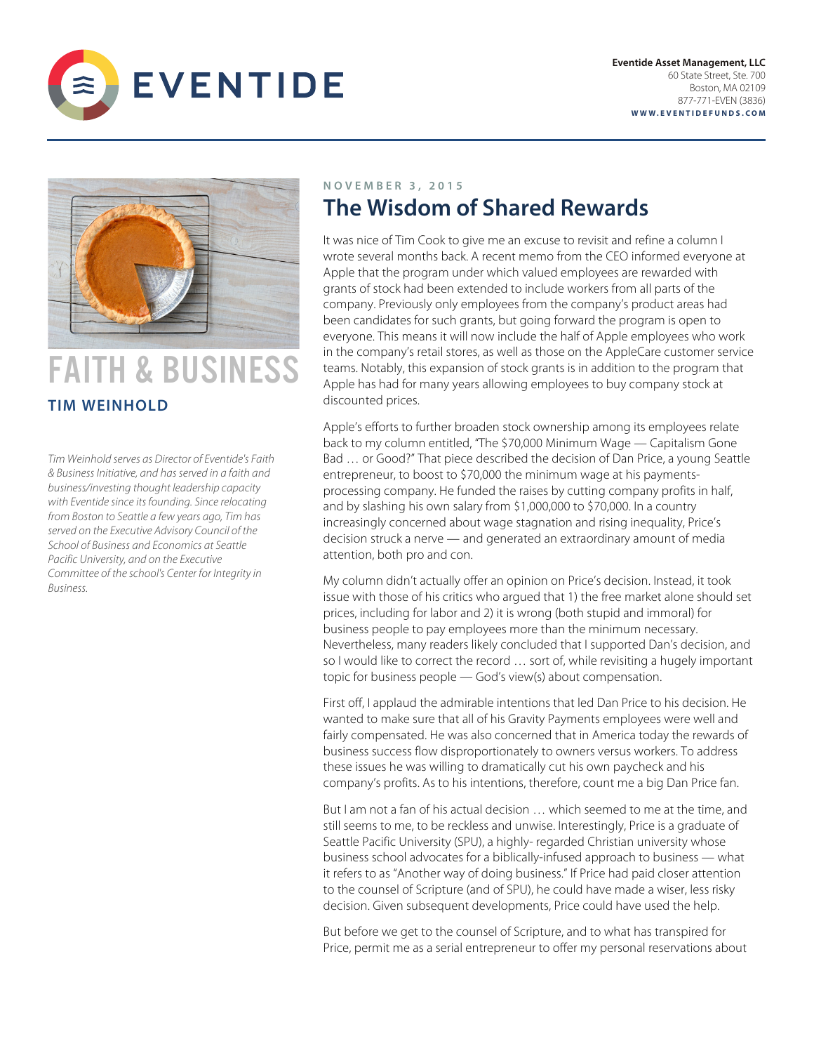



# FAITH & BUSINESS **TIM WEINHOLD**

*Tim Weinhold serves as Director of Eventide's Faith & Business Initiative, and has served in a faith and business/investing thought leadership capacity with Eventide since its founding. Since relocating from Boston to Seattle a few years ago, Tim has served on the Executive Advisory Council of the School of Business and Economics at Seattle Pacific University, and on the Executive Committee of the school's Center for Integrity in Business.* 

## **NOVEMBER 3 , 201 5 The Wisdom of Shared Rewards**

It was nice of Tim Cook to give me an excuse to revisit and refine a column I wrote several months back. A recent memo from the CEO informed everyone at Apple that the program under which valued employees are rewarded with grants of stock had been extended to include workers from all parts of the company. Previously only employees from the company's product areas had been candidates for such grants, but going forward the program is open to everyone. This means it will now include the half of Apple employees who work in the company's retail stores, as well as those on the AppleCare customer service teams. Notably, this expansion of stock grants is in addition to the program that Apple has had for many years allowing employees to buy company stock at discounted prices.

Apple's efforts to further broaden stock ownership among its employees relate back to my column entitled, "The \$70,000 Minimum Wage — Capitalism Gone Bad … or Good?" That piece described the decision of Dan Price, a young Seattle entrepreneur, to boost to \$70,000 the minimum wage at his paymentsprocessing company. He funded the raises by cutting company profits in half, and by slashing his own salary from \$1,000,000 to \$70,000. In a country increasingly concerned about wage stagnation and rising inequality, Price's decision struck a nerve — and generated an extraordinary amount of media attention, both pro and con.

My column didn't actually offer an opinion on Price's decision. Instead, it took issue with those of his critics who argued that 1) the free market alone should set prices, including for labor and 2) it is wrong (both stupid and immoral) for business people to pay employees more than the minimum necessary. Nevertheless, many readers likely concluded that I supported Dan's decision, and so I would like to correct the record … sort of, while revisiting a hugely important topic for business people — God's view(s) about compensation.

First off, I applaud the admirable intentions that led Dan Price to his decision. He wanted to make sure that all of his Gravity Payments employees were well and fairly compensated. He was also concerned that in America today the rewards of business success flow disproportionately to owners versus workers. To address these issues he was willing to dramatically cut his own paycheck and his company's profits. As to his intentions, therefore, count me a big Dan Price fan.

But I am not a fan of his actual decision … which seemed to me at the time, and still seems to me, to be reckless and unwise. Interestingly, Price is a graduate of Seattle Pacific University (SPU), a highly- regarded Christian university whose business school advocates for a biblically-infused approach to business — what it refers to as "Another way of doing business." If Price had paid closer attention to the counsel of Scripture (and of SPU), he could have made a wiser, less risky decision. Given subsequent developments, Price could have used the help.

But before we get to the counsel of Scripture, and to what has transpired for Price, permit me as a serial entrepreneur to offer my personal reservations about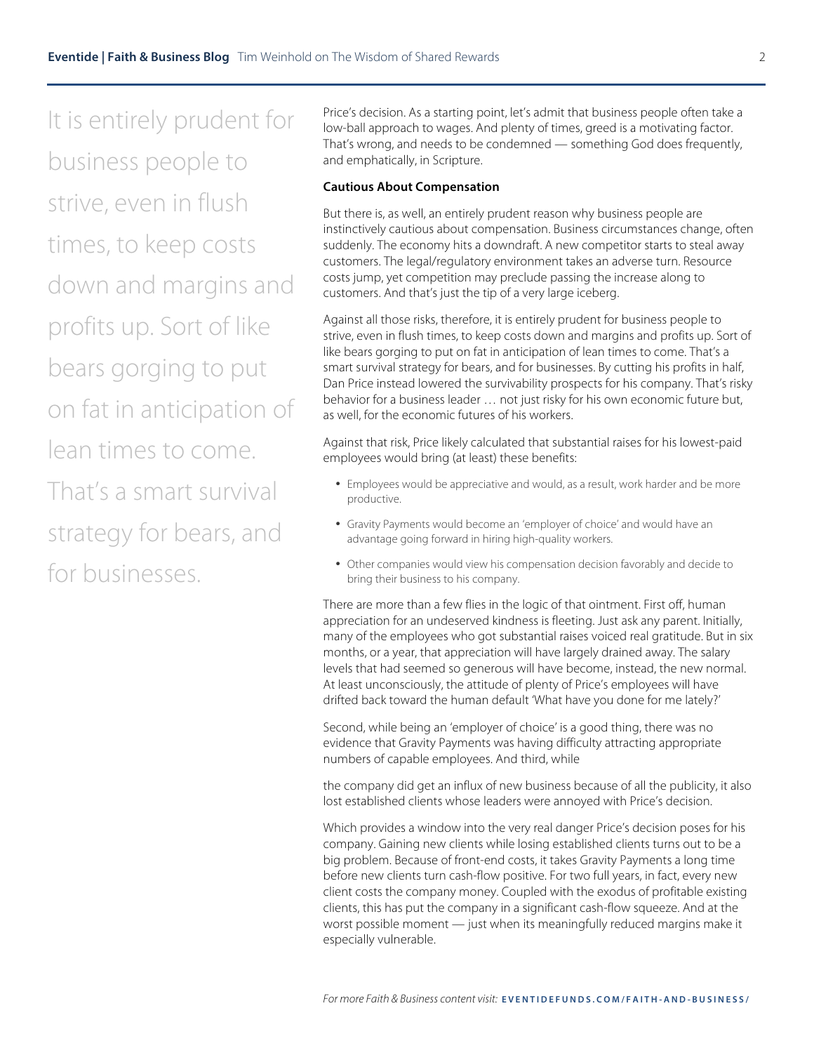It is entirely prudent for business people to strive, even in flush times, to keep costs down and margins and profits up. Sort of like bears gorging to put on fat in anticipation of lean times to come. That's a smart survival

strategy for bears, and for businesses.

Price's decision. As a starting point, let's admit that business people often take a low-ball approach to wages. And plenty of times, greed is a motivating factor. That's wrong, and needs to be condemned — something God does frequently, and emphatically, in Scripture.

#### **Cautious About Compensation**

But there is, as well, an entirely prudent reason why business people are instinctively cautious about compensation. Business circumstances change, often suddenly. The economy hits a downdraft. A new competitor starts to steal away customers. The legal/regulatory environment takes an adverse turn. Resource costs jump, yet competition may preclude passing the increase along to customers. And that's just the tip of a very large iceberg.

Against all those risks, therefore, it is entirely prudent for business people to strive, even in flush times, to keep costs down and margins and profits up. Sort of like bears gorging to put on fat in anticipation of lean times to come. That's a smart survival strategy for bears, and for businesses. By cutting his profits in half, Dan Price instead lowered the survivability prospects for his company. That's risky behavior for a business leader … not just risky for his own economic future but, as well, for the economic futures of his workers.

Against that risk, Price likely calculated that substantial raises for his lowest-paid employees would bring (at least) these benefits:

- Employees would be appreciative and would, as a result, work harder and be more productive.
- Gravity Payments would become an 'employer of choice' and would have an advantage going forward in hiring high-quality workers.
- Other companies would view his compensation decision favorably and decide to bring their business to his company.

There are more than a few flies in the logic of that ointment. First off, human appreciation for an undeserved kindness is fleeting. Just ask any parent. Initially, many of the employees who got substantial raises voiced real gratitude. But in six months, or a year, that appreciation will have largely drained away. The salary levels that had seemed so generous will have become, instead, the new normal. At least unconsciously, the attitude of plenty of Price's employees will have drifted back toward the human default 'What have you done for me lately?'

Second, while being an 'employer of choice' is a good thing, there was no evidence that Gravity Payments was having difficulty attracting appropriate numbers of capable employees. And third, while

the company did get an influx of new business because of all the publicity, it also lost established clients whose leaders were annoyed with Price's decision.

Which provides a window into the very real danger Price's decision poses for his company. Gaining new clients while losing established clients turns out to be a big problem. Because of front-end costs, it takes Gravity Payments a long time before new clients turn cash-flow positive. For two full years, in fact, every new client costs the company money. Coupled with the exodus of profitable existing clients, this has put the company in a significant cash-flow squeeze. And at the worst possible moment — just when its meaningfully reduced margins make it especially vulnerable.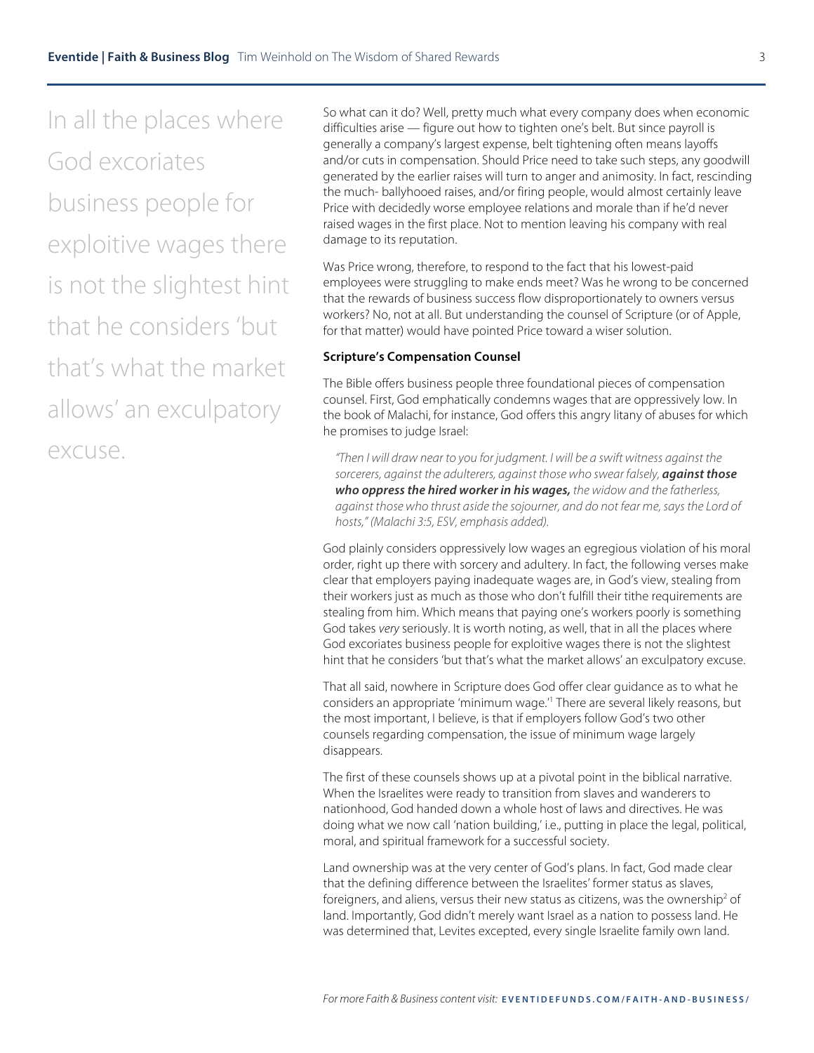In all the places where God excoriates business people for exploitive wages there is not the slightest hint that he considers 'but that's what the market allows' an exculpatory excuse.

So what can it do? Well, pretty much what every company does when economic difficulties arise — figure out how to tighten one's belt. But since payroll is generally a company's largest expense, belt tightening often means layoffs and/or cuts in compensation. Should Price need to take such steps, any goodwill generated by the earlier raises will turn to anger and animosity. In fact, rescinding the much- ballyhooed raises, and/or firing people, would almost certainly leave Price with decidedly worse employee relations and morale than if he'd never raised wages in the first place. Not to mention leaving his company with real damage to its reputation.

Was Price wrong, therefore, to respond to the fact that his lowest-paid employees were struggling to make ends meet? Was he wrong to be concerned that the rewards of business success flow disproportionately to owners versus workers? No, not at all. But understanding the counsel of Scripture (or of Apple, for that matter) would have pointed Price toward a wiser solution.

#### **Scripture's Compensation Counsel**

The Bible offers business people three foundational pieces of compensation counsel. First, God emphatically condemns wages that are oppressively low. In the book of Malachi, for instance, God offers this angry litany of abuses for which he promises to judge Israel:

*"Then I will draw near to you for judgment. I will be a swift witness against the sorcerers, against the adulterers, against those who swear falsely, against those who oppress the hired worker in his wages, the widow and the fatherless, against those who thrust aside the sojourner, and do not fear me, says the Lord of hosts," (Malachi 3:5, ESV, emphasis added).*

God plainly considers oppressively low wages an egregious violation of his moral order, right up there with sorcery and adultery. In fact, the following verses make clear that employers paying inadequate wages are, in God's view, stealing from their workers just as much as those who don't fulfill their tithe requirements are stealing from him. Which means that paying one's workers poorly is something God takes *very* seriously. It is worth noting, as well, that in all the places where God excoriates business people for exploitive wages there is not the slightest hint that he considers 'but that's what the market allows' an exculpatory excuse.

That all said, nowhere in Scripture does God offer clear guidance as to what he considers an appropriate 'minimum wage.'1 There are several likely reasons, but the most important, I believe, is that if employers follow God's two other counsels regarding compensation, the issue of minimum wage largely disappears.

The first of these counsels shows up at a pivotal point in the biblical narrative. When the Israelites were ready to transition from slaves and wanderers to nationhood, God handed down a whole host of laws and directives. He was doing what we now call 'nation building,' i.e., putting in place the legal, political, moral, and spiritual framework for a successful society.

Land ownership was at the very center of God's plans. In fact, God made clear that the defining difference between the Israelites' former status as slaves, foreigners, and aliens, versus their new status as citizens, was the ownership<sup>2</sup> of land. Importantly, God didn't merely want Israel as a nation to possess land. He was determined that, Levites excepted, every single Israelite family own land.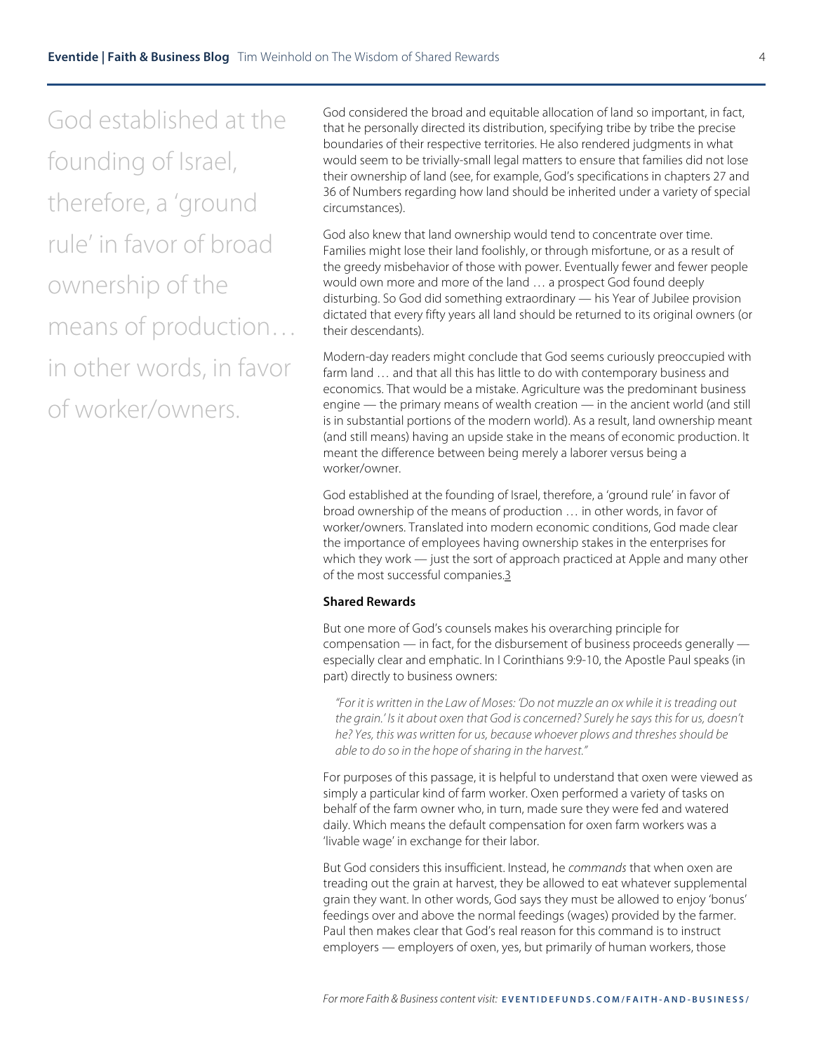God established at the founding of Israel, therefore, a 'ground rule' in favor of broad ownership of the means of production… in other words, in favor of worker/owners.

God considered the broad and equitable allocation of land so important, in fact, that he personally directed its distribution, specifying tribe by tribe the precise boundaries of their respective territories. He also rendered judgments in what would seem to be trivially-small legal matters to ensure that families did not lose their ownership of land (see, for example, God's specifications in chapters 27 and 36 of Numbers regarding how land should be inherited under a variety of special circumstances).

God also knew that land ownership would tend to concentrate over time. Families might lose their land foolishly, or through misfortune, or as a result of the greedy misbehavior of those with power. Eventually fewer and fewer people would own more and more of the land … a prospect God found deeply disturbing. So God did something extraordinary — his Year of Jubilee provision dictated that every fifty years all land should be returned to its original owners (or their descendants).

Modern-day readers might conclude that God seems curiously preoccupied with farm land … and that all this has little to do with contemporary business and economics. That would be a mistake. Agriculture was the predominant business engine — the primary means of wealth creation — in the ancient world (and still is in substantial portions of the modern world). As a result, land ownership meant (and still means) having an upside stake in the means of economic production. It meant the difference between being merely a laborer versus being a worker/owner.

God established at the founding of Israel, therefore, a 'ground rule' in favor of broad ownership of the means of production … in other words, in favor of worker/owners. Translated into modern economic conditions, God made clear the importance of employees having ownership stakes in the enterprises for which they work — just the sort of approach practiced at Apple and many other of the most successful companies.3

### **Shared Rewards**

But one more of God's counsels makes his overarching principle for compensation — in fact, for the disbursement of business proceeds generally especially clear and emphatic. In I Corinthians 9:9-10, the Apostle Paul speaks (in part) directly to business owners:

*"For it is written in the Law of Moses: 'Do not muzzle an ox while it is treading out the grain.' Is it about oxen that God is concerned? Surely he says this for us, doesn't he? Yes, this was written for us, because whoever plows and threshes should be able to do so in the hope of sharing in the harvest."*

For purposes of this passage, it is helpful to understand that oxen were viewed as simply a particular kind of farm worker. Oxen performed a variety of tasks on behalf of the farm owner who, in turn, made sure they were fed and watered daily. Which means the default compensation for oxen farm workers was a 'livable wage' in exchange for their labor.

But God considers this insufficient. Instead, he *commands* that when oxen are treading out the grain at harvest, they be allowed to eat whatever supplemental grain they want. In other words, God says they must be allowed to enjoy 'bonus' feedings over and above the normal feedings (wages) provided by the farmer. Paul then makes clear that God's real reason for this command is to instruct employers — employers of oxen, yes, but primarily of human workers, those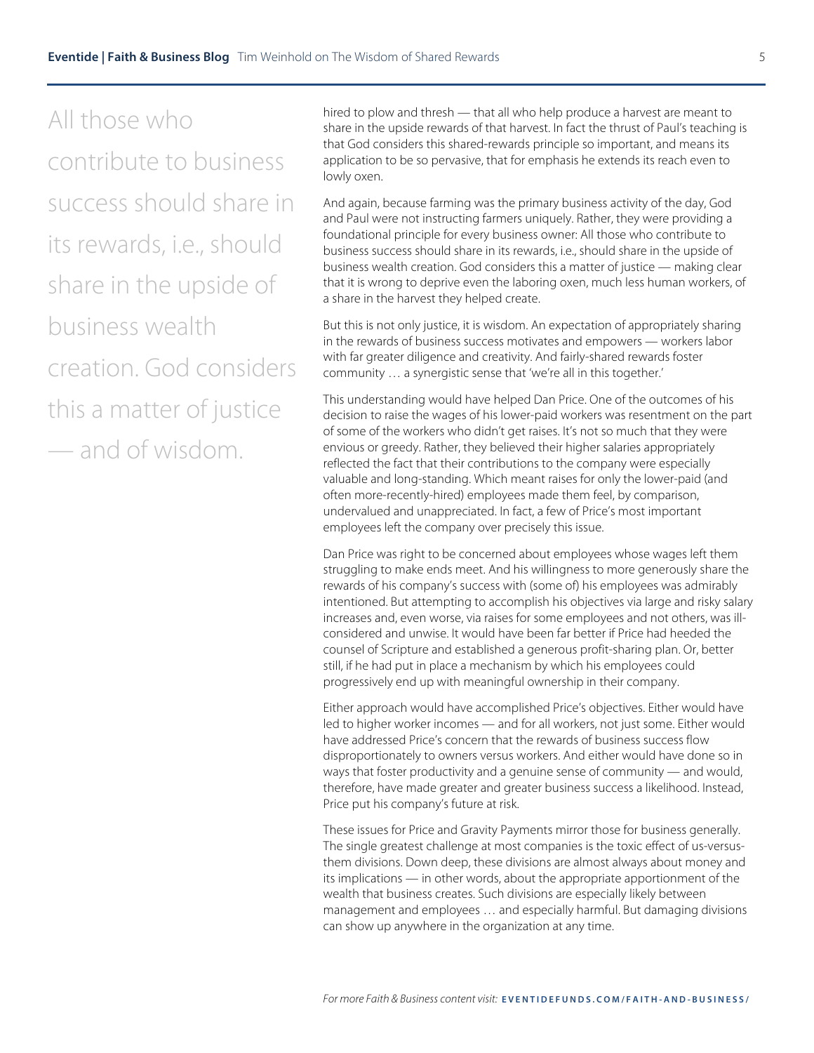All those who contribute to business success should share in its rewards, i.e., should share in the upside of business wealth creation. God considers this a matter of justice — and of wisdom.

hired to plow and thresh — that all who help produce a harvest are meant to share in the upside rewards of that harvest. In fact the thrust of Paul's teaching is that God considers this shared-rewards principle so important, and means its application to be so pervasive, that for emphasis he extends its reach even to lowly oxen.

And again, because farming was the primary business activity of the day, God and Paul were not instructing farmers uniquely. Rather, they were providing a foundational principle for every business owner: All those who contribute to business success should share in its rewards, i.e., should share in the upside of business wealth creation. God considers this a matter of justice — making clear that it is wrong to deprive even the laboring oxen, much less human workers, of a share in the harvest they helped create.

But this is not only justice, it is wisdom. An expectation of appropriately sharing in the rewards of business success motivates and empowers — workers labor with far greater diligence and creativity. And fairly-shared rewards foster community … a synergistic sense that 'we're all in this together.'

This understanding would have helped Dan Price. One of the outcomes of his decision to raise the wages of his lower-paid workers was resentment on the part of some of the workers who didn't get raises. It's not so much that they were envious or greedy. Rather, they believed their higher salaries appropriately reflected the fact that their contributions to the company were especially valuable and long-standing. Which meant raises for only the lower-paid (and often more-recently-hired) employees made them feel, by comparison, undervalued and unappreciated. In fact, a few of Price's most important employees left the company over precisely this issue.

Dan Price was right to be concerned about employees whose wages left them struggling to make ends meet. And his willingness to more generously share the rewards of his company's success with (some of) his employees was admirably intentioned. But attempting to accomplish his objectives via large and risky salary increases and, even worse, via raises for some employees and not others, was illconsidered and unwise. It would have been far better if Price had heeded the counsel of Scripture and established a generous profit-sharing plan. Or, better still, if he had put in place a mechanism by which his employees could progressively end up with meaningful ownership in their company.

Either approach would have accomplished Price's objectives. Either would have led to higher worker incomes — and for all workers, not just some. Either would have addressed Price's concern that the rewards of business success flow disproportionately to owners versus workers. And either would have done so in ways that foster productivity and a genuine sense of community — and would, therefore, have made greater and greater business success a likelihood. Instead, Price put his company's future at risk.

These issues for Price and Gravity Payments mirror those for business generally. The single greatest challenge at most companies is the toxic effect of us-versusthem divisions. Down deep, these divisions are almost always about money and its implications — in other words, about the appropriate apportionment of the wealth that business creates. Such divisions are especially likely between management and employees … and especially harmful. But damaging divisions can show up anywhere in the organization at any time.